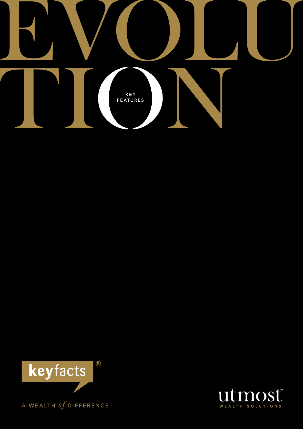



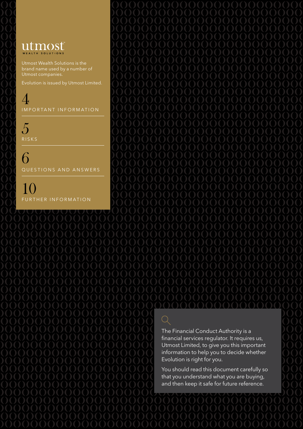## utmost WEALTH SOLUTIONS

Utmost Wealth Solutions is the brand name used by a number of Utmost companies.

Evolution is issued by Utmost Limited.

 $\overline{A}$ IMPORTANT INFORMATION

5 **RISKS** 

6 QUESTIONS AND ANSWERS

10 FURTHER INFORMATION

The Financial Conduct Authority is a financial services regulator. It requires us, Utmost Limited, to give you this important information to help you to decide whether Evolution is right for you.

You should read this document carefully so that you understand what you are buying, and then keep it safe for future reference.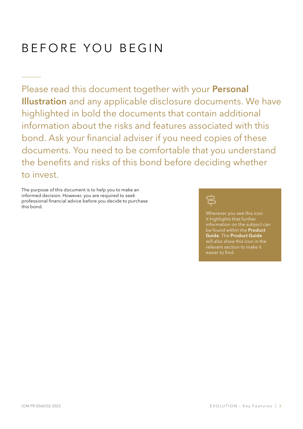# BEFORE YOU BEGIN

Please read this document together with your Personal Illustration and any applicable disclosure documents. We have highlighted in bold the documents that contain additional information about the risks and features associated with this bond. Ask your financial adviser if you need copies of these documents. You need to be comfortable that you understand the benefits and risks of this bond before deciding whether to invest.

The purpose of this document is to help you to make an informed decision. However, you are required to seek professional financial advice before you decide to purchase this bond.



Wherever you see this icon it highlights that further information on the subject can be found within the Product Guide. The Product Guide will also show this icon in the easier to find.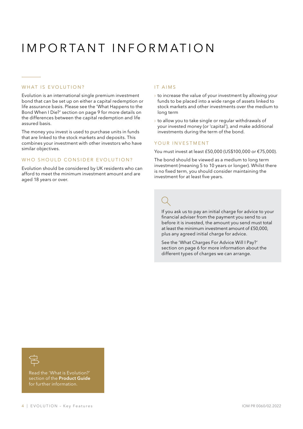# I mportant I nformation

### WHAT IS EVOLUTION?

Evolution is an international single premium investment bond that can be set up on either a capital redemption or life assurance basis. Please see the 'What Happens to the Bond When I Die?' section on page 9 for more details on the differences between the capital redemption and life assured basis.

The money you invest is used to purchase units in funds that are linked to the stock markets and deposits. This combines your investment with other investors who have similar objectives.

### WHO SHOULD CONSIDER EVOLUTION?

Evolution should be considered by UK residents who can afford to meet the minimum investment amount and are aged 18 years or over.

### IT AIMS

- $\rightarrow$  to increase the value of your investment by allowing your funds to be placed into a wide range of assets linked to stock markets and other investments over the medium to long term
- $\rightarrow$  to allow you to take single or regular withdrawals of your invested money (or 'capital'), and make additional investments during the term of the bond.

### YOUR INVESTMENT

You must invest at least £50,000 (US\$100,000 or €75,000).

The bond should be viewed as a medium to long term investment (meaning 5 to 10 years or longer). Whilst there is no fixed term, you should consider maintaining the investment for at least five years.

If you ask us to pay an initial charge for advice to your financial adviser from the payment you send to us before it is invested, the amount you send must total at least the minimum investment amount of £50,000, plus any agreed initial charge for advice.

See the 'What Charges For Advice Will I Pay?' section on page 6 for more information about the different types of charges we can arrange.



Read the 'What is Evolution?' section of the Product Guide for further information.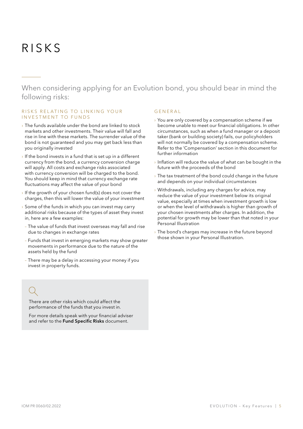# R isks

When considering applying for an Evolution bond, you should bear in mind the following risks:

### RISKS RELATING TO LINKING YOUR INVESTMENT TO FUNDS

- $\rightarrow$  The funds available under the bond are linked to stock markets and other investments. Their value will fall and rise in line with these markets. The surrender value of the bond is not guaranteed and you may get back less than you originally invested
- $\rightarrow$  If the bond invests in a fund that is set up in a different currency from the bond, a currency conversion charge will apply. All costs and exchange risks associated with currency conversion will be charged to the bond. You should keep in mind that currency exchange rate fluctuations may affect the value of your bond
- › If the growth of your chosen fund(s) does not cover the charges, then this will lower the value of your investment
- $\rightarrow$  Some of the funds in which you can invest may carry additional risks because of the types of asset they invest in, here are a few examples:
- The value of funds that invest overseas may fall and rise due to changes in exchange rates
- Funds that invest in emerging markets may show greater movements in performance due to the nature of the assets held by the fund
- There may be a delay in accessing your money if you invest in property funds.

There are other risks which could affect the performance of the funds that you invest in.

For more details speak with your financial adviser and refer to the Fund Specific Risks document.

### **GENERAL**

- › You are only covered by a compensation scheme if we become unable to meet our financial obligations. In other circumstances, such as when a fund manager or a deposit taker (bank or building society) fails, our policyholders will not normally be covered by a compensation scheme. Refer to the 'Compensation' section in this document for further information
- › Inflation will reduce the value of what can be bought in the future with the proceeds of the bond
- $\rightarrow$  The tax treatment of the bond could change in the future and depends on your individual circumstances
- › Withdrawals, including any charges for advice, may reduce the value of your investment below its original value, especially at times when investment growth is low or when the level of withdrawals is higher than growth of your chosen investments after charges. In addition, the potential for growth may be lower than that noted in your Personal Illustration
- › The bond's charges may increase in the future beyond those shown in your Personal Illustration.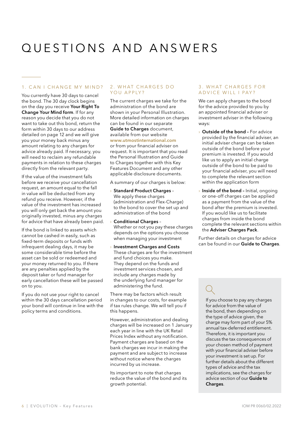# Q uestions and A nswers

### 1. CAN I CHANGE MY MIND?

You currently have 30 days to cancel the bond. The 30 day clock begins on the day you receive Your Right To Change Your Mind form. If for any reason you decide that you do not want to take out this bond, return the form within 30 days to our address detailed on page 12 and we will give you your money back minus any amount relating to any charges for advice already paid. If necessary, you will need to reclaim any refundable payments in relation to these charges directly from the relevant party.

If the value of the investment falls before we receive your cancellation request, an amount equal to the fall in value will be deducted from any refund you receive. However, if the value of the investment has increased you will only get back the amount you originally invested, minus any charges for advice that have already been paid.

If the bond is linked to assets which cannot be cashed in easily, such as fixed-term deposits or funds with infrequent dealing days, it may be some considerable time before the asset can be sold or redeemed and your money returned to you. If there are any penalties applied by the deposit taker or fund manager for early cancellation these will be passed on to you.

If you do not use your right to cancel within the 30 days cancellation period your bond will continue in line with the policy terms and conditions.

### 2. WHAT CHARGES DO YOU APPLY?

The current charges we take for the administration of the bond are shown in your Personal Illustration. More detailed information on charges can be found in our separate Guide to Charges document, available from our website www.utmostinternational.com or from your financial adviser on request. It is important that you read the Personal Illustration and Guide to Charges together with this Key Features Document and any other applicable disclosure documents.

A summary of our charges is below:

- › Standard Product Charges We apply these charges (administration and Flex-Charge) to the bond to cover the set up and administration of the bond
- Conditional Charges -Whether or not you pay these charges depends on the options you choose when managing your investment
- › Investment Charges and Costs These charges are for the investment and fund choices you make. They depend on the funds and investment services chosen, and include any charges made by the underlying fund manager for administering the fund.

There may be factors which result in changes to our costs, for example if tax rules change. We will tell you if this happens.

However, administration and dealing charges will be increased on 1 January each year in line with the UK Retail Prices Index without any notification. Payment charges are based on the bank charges we incur in making the payment and are subject to increase without notice where the charges incurred by us increase.

Its important to note that charges reduce the value of the bond and its growth potential.

### 3. WHAT CHARGES FOR A D V I C E W I L L I P A Y ?

We can apply charges to the bond for the advice provided to you by an appointed financial adviser or investment adviser in the following ways:

- **Outside of the bond For advice** provided by the financial adviser, an initial adviser charge can be taken outside of the bond before your premium is invested. If you would like us to apply an initial charge outside of the bond to be paid to your financial adviser, you will need to complete the relevant section within the application form
- **Inside of the bond Initial, ongoing** or one-off charges can be applied as a payment from the value of the bond after the premium is invested. If you would like us to facilitate charges from inside the bond complete the relevant sections within the Adviser Charges Pack.

Further details on charges for advice can be found in our **Guide to Charges**.

If you choose to pay any charges for advice from the value of the bond, then depending on the type of advice given, the charge may form part of your 5% annual tax-deferred entitlement. Therefore, it is important you discuss the tax consequences of your chosen method of payment with your financial adviser before your investment is set up. For further details about the different types of advice and the tax implications, see the charges for advice section of our Guide to Charges.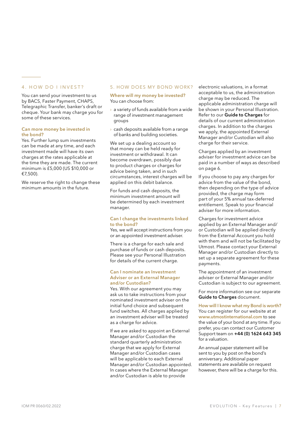### 4. HOW DO I INVEST?

You can send your investment to us by BACS, Faster Payment, CHAPS, Telegraphic Transfer, banker's draft or cheque. Your bank may charge you for some of these services.

### Can more money be invested in the bond?

Yes. Further lump sum investments can be made at any time, and each investment made will have its own charges at the rates applicable at the time they are made. The current minimum is £5,000 (US \$10,000 or €7,500).

We reserve the right to change these minimum amounts in the future.

### 5. HOW DOES MY BOND WORK?

### Where will my money be invested? You can choose from:

- › a variety of funds available from a wide range of investment management groups
- › cash deposits available from a range of banks and building societies.

We set up a dealing account so that money can be held ready for investment or withdrawal. It can become overdrawn, possibly due to product charges or charges for advice being taken, and in such circumstances, interest charges will be applied on this debit balance.

For funds and cash deposits, the minimum investment amount will be determined by each investment manager.

### Can I change the investments linked to the bond?

Yes, we will accept instructions from you or an appointed investment adviser.

There is a charge for each sale and purchase of funds or cash deposits. Please see your Personal Illustration for details of the current charge.

### Can I nominate an Investment Adviser or an External Manager and/or Custodian?

Yes. With our agreement you may ask us to take instructions from your nominated investment adviser on the initial fund choice and subsequent fund switches. All charges applied by an investment adviser will be treated as a charge for advice.

If we are asked to appoint an External Manager and/or Custodian the standard quarterly administration charge that we apply for External Manager and/or Custodian cases will be applicable to each External Manager and/or Custodian appointed. In cases where the External Manager and/or Custodian is able to provide

electronic valuations, in a format acceptable to us, the administration charge may be reduced. The applicable administration charge will be shown in your Personal Illustration. Refer to our **Guide to Charges** for details of our current administration charges. In addition to the charges we apply, the appointed External Manager and/or Custodian will also charge for their service.

Charges applied by an investment adviser for investment advice can be paid in a number of ways as described on page 6.

If you choose to pay any charges for advice from the value of the bond, then depending on the type of advice provided, the charge may form part of your 5% annual tax-deferred entitlement. Speak to your financial adviser for more information.

Charges for investment advice applied by an External Manager and/ or Custodian will be applied directly from the External Account you hold with them and will not be facilitated by Utmost. Please contact your External Manager and/or Custodian directly to set up a separate agreement for these payments.

The appointment of an investment adviser or External Manager and/or Custodian is subject to our agreement.

For more information see our separate Guide to Charges document.

How will I know what my Bond is worth? You can register for our website at at www.utmostinternational.com to see the value of your bond at any time. If you prefer, you can contact our Customer Support team on +44 (0) 1624 643 345 for a valuation.

An annual paper statement will be sent to you by post on the bond's anniversary. Additional paper statements are available on request however, there will be a charge for this.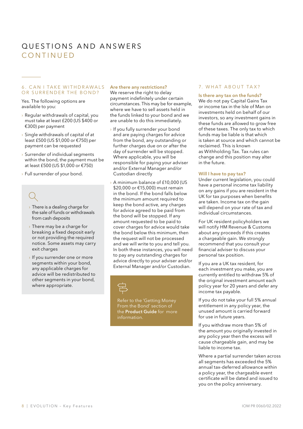## questions and answers **CONTINUED**

### 6 . C an I take withdrawals OR SURRENDER THE BOND?

Yes. The following options are available to you:

- › Regular withdrawals of capital, you must take at least £200 (US \$400 or €300) per payment
- › Single withdrawals of capital of at least £500 (US \$1,000 or €750) per payment can be requested
- › Surrender of individual segments within the bond, the payment must be at least £500 (US \$1,000 or €750)
- › Full surrender of your bond.

- › There is a dealing charge for the sale of funds or withdrawals from cash deposits
- › There may be a charge for breaking a fixed deposit early or not providing the required notice. Some assets may carry exit charges
- › If you surrender one or more segments within your bond, any applicable charges for advice will be redistributed to other segments in your bond, where appropriate.

### Are there any restrictions?

We reserve the right to delay payment indefinitely under certain circumstances. This may be for example, where we have to sell assets held in the funds linked to your bond and we are unable to do this immediately.

- › If you fully surrender your bond and are paying charges for advice from the bond, any outstanding or further charges due on or after the day of surrender will be stopped. Where applicable, you will be responsible for paying your adviser and/or External Manager and/or Custodian directly
- A minimum balance of £10,000 (US \$20,000 or €15,000) must remain in the bond. If the bond falls below the minimum amount required to keep the bond active, any charges for advice agreed to be paid from the bond will be stopped. If any amount requested to be paid to cover charges for advice would take the bond below this minimum, then the request will not be processed and we will write to you and tell you. In both these instances, you will need to pay any outstanding charges for advice directly to your adviser and/or External Manager and/or Custodian.



Refer to the 'Getting Money From the Bond' section of the Product Guide for more information.

### 7. WHAT ABOUT TAX?

### Is there any tax on the funds?

We do not pay Capital Gains Tax or income tax in the Isle of Man on investments held on behalf of our investors, so any investment gains in these funds are allowed to grow free of these taxes. The only tax to which funds may be liable is that which is taken at source and which cannot be reclaimed. This is known as Withholding Tax. Tax rules can change and this position may alter in the future.

### Will I have to pay tax?

Under current legislation, you could have a personal income tax liability on any gains if you are resident in the UK for tax purposes when benefits are taken. Income tax on the gain will depend on your rate of tax and individual circumstances.

For UK resident policyholders we will notify HM Revenue & Customs about any proceeds if this creates a chargeable gain. We strongly recommend that you consult your financial adviser to discuss your personal tax position.

If you are a UK tax resident, for each investment you make, you are currently entitled to withdraw 5% of the original investment amount each policy year for 20 years and defer any income tax payable.

If you do not take your full 5% annual entitlement in any policy year, the unused amount is carried forward for use in future years.

If you withdraw more than 5% of the amount you originally invested in any policy year then the excess will cause chargeable gain, and may be liable to income tax.

Where a partial surrender taken across all segments has exceeded the 5% annual tax-deferred allowance within a policy year, the chargeable event certificate will be dated and issued to you on the policy anniversary.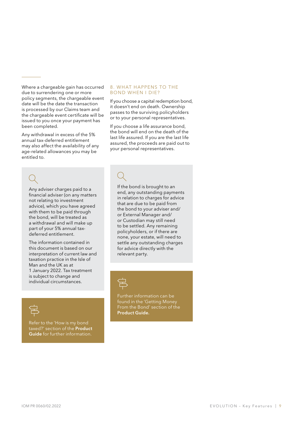Where a chargeable gain has occurred due to surrendering one or more policy segments, the chargeable event date will be the date the transaction is processed by our Claims team and the chargeable event certificate will be issued to you once your payment has been completed.

Any withdrawal in excess of the 5% annual tax-deferred entitlement may also affect the availability of any age-related allowances you may be entitled to.

### 8. What happens to the Bond when I die?

If you choose a capital redemption bond, it doesn't end on death. Ownership passes to the surviving policyholders or to your personal representatives.

If you choose a life assurance bond, the bond will end on the death of the last life assured. If you are the last life assured, the proceeds are paid out to your personal representatives.

Any adviser charges paid to a financial adviser (on any matters not relating to investment advice), which you have agreed with them to be paid through the bond, will be treated as a withdrawal and will make up part of your 5% annual taxdeferred entitlement.

The information contained in this document is based on our interpretation of current law and taxation practice in the Isle of Man and the UK as at 1 January 2022. Tax treatment is subject to change and individual circumstances.

Refer to the 'How is my bond taxed?' section of the **Product** Guide for further information.

If the bond is brought to an end, any outstanding payments in relation to charges for advice that are due to be paid from the bond to your adviser and/ or External Manager and/ or Custodian may still need to be settled. Any remaining policyholders, or if there are none, your estate, will need to settle any outstanding charges for advice directly with the relevant party.



Further information can be found in the 'Getting Money From the Bond' section of the Product Guide.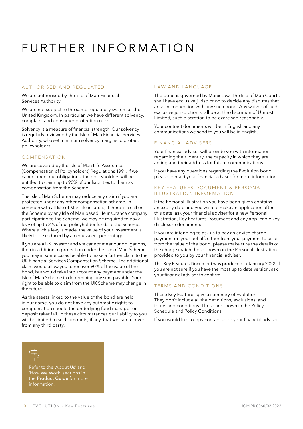# FURTHER INFORMATION

### Authorised and regulated

We are authorised by the Isle of Man Financial Services Authority.

We are not subject to the same regulatory system as the United Kingdom. In particular, we have different solvency, complaint and consumer protection rules.

Solvency is a measure of financial strength. Our solvency is regularly reviewed by the Isle of Man Financial Services Authority, who set minimum solvency margins to protect policyholders.

### **COMPENSATION**

We are covered by the Isle of Man Life Assurance (Compensation of Policyholders) Regulations 1991. If we cannot meet our obligations, the policyholders will be entitled to claim up to 90% of our liabilities to them as compensation from the Scheme.

The Isle of Man Scheme may reduce any claim if you are protected under any other compensation scheme. In common with all Isle of Man life insurers, if there is a call on the Scheme by any Isle of Man based life insurance company participating to the Scheme, we may be required to pay a levy of up to 2% of our policyholder funds to the Scheme. Where such a levy is made, the value of your investment is likely to be reduced by an equivalent percentage.

If you are a UK investor and we cannot meet our obligations, then in addition to protection under the Isle of Man Scheme, you may in some cases be able to make a further claim to the UK Financial Services Compensation Scheme. The additional claim would allow you to recover 90% of the value of the bond, but would take into account any payment under the Isle of Man Scheme in determining any sum payable. Your right to be able to claim from the UK Scheme may change in the future.

As the assets linked to the value of the bond are held in our name, you do not have any automatic rights to compensation should the underlying fund manager or deposit taker fail. In these circumstances our liability to you will be limited to such amounts, if any, that we can recover from any third party.

### LAW AND LANGUAGE

The bond is governed by Manx Law. The Isle of Man Courts shall have exclusive jurisdiction to decide any disputes that arise in connection with any such bond. Any waiver of such exclusive jurisdiction shall be at the discretion of Utmost Limited, such discretion to be exercised reasonably.

Your contract documents will be in English and any communications we send to you will be in English.

### Financial advisers

Your financial adviser will provide you with information regarding their identity, the capacity in which they are acting and their address for future communications.

If you have any questions regarding the Evolution bond, please contact your financial adviser for more information.

### KEY FEATURES DOCUMENT & PERSONAL II LUSTRATION INFORMATION

If the Personal Illustration you have been given contains an expiry date and you wish to make an application after this date, ask your financial adviser for a new Personal Illustration, Key Features Document and any applicable key disclosure documents.

If you are intending to ask us to pay an advice charge payment on your behalf, either from your payment to us or from the value of the bond, please make sure the details of the charge match those shown on the Personal Illustration provided to you by your financial adviser.

This Key Features Document was produced in January 2022. If you are not sure if you have the most up to date version, ask your financial adviser to confirm.

### Terms and Conditions

These Key Features give a summary of Evolution. They don't include all the definitions, exclusions, and terms and conditions. These are shown in the Policy Schedule and Policy Conditions.

If you would like a copy contact us or your financial adviser.



Refer to the 'About Us' and 'How We Work' sections in the Product Guide for more information.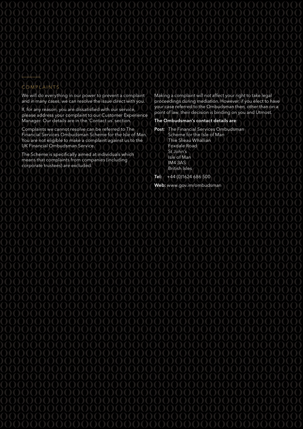### COMPLAINTS

We will do everything in our power to prevent a complaint and in many cases, we can resolve the issue direct with you.

If, for any reason, you are dissatisfied with our service, please address your complaint to our Customer Experience Manager. Our details are in the 'Contact us' section.

Complaints we cannot resolve can be referred to The Financial Services Ombudsman Scheme for the Isle of Man. You are not eligible to make a complaint against us to the UK Financial Ombudsman Service.

The Scheme is specifically aimed at individuals which means that complaints from companies (including corporate trustees) are excluded.

Making a complaint will not affect your right to take legal proceedings during mediation. However, if you elect to have your case referred to the Ombudsman then, other than on a point of law, their decision is binding on you and Utmost.

### The Ombudsman's contact details are:

Post: The Financial Services Ombudsman Scheme for the Isle of Man Thie Slieau Whallian Foxdale Road St John's Isle of Man IM4 3AS British Isles Tel: +44 (0)1624 686 500

Web: www.gov.im/ombudsman